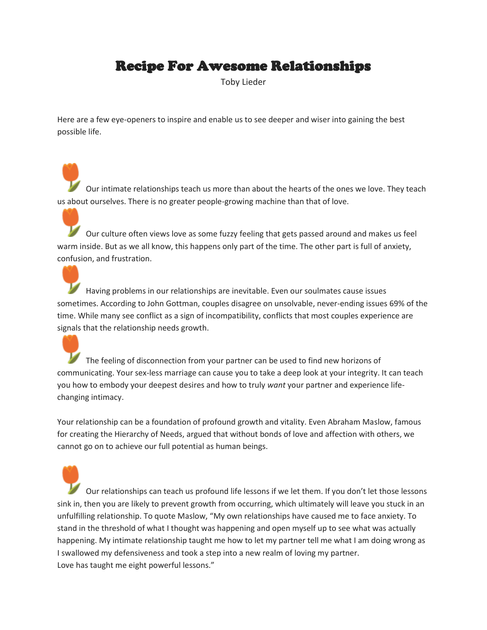## Recipe For Awesome Relationships

Toby Lieder

Here are a few eye-openers to inspire and enable us to see deeper and wiser into gaining the best possible life.

Our intimate relationships teach us more than about the hearts of the ones we love. They teach us about ourselves. There is no greater people-growing machine than that of love.

Our culture often views love as some fuzzy feeling that gets passed around and makes us feel warm inside. But as we all know, this happens only part of the time. The other part is full of anxiety, confusion, and frustration.

Having problems in our relationships are inevitable. Even our soulmates cause issues sometimes. According to John Gottman, couples disagree on unsolvable, never-ending issues 69% of the time. While many see conflict as a sign of incompatibility, conflicts that most couples experience are signals that the relationship needs growth.

The feeling of disconnection from your partner can be used to find new horizons of communicating. Your sex-less marriage can cause you to take a deep look at your integrity. It can teach you how to embody your deepest desires and how to truly *want* your partner and experience lifechanging intimacy.

Your relationship can be a foundation of profound growth and vitality. Even Abraham Maslow, famous for creating the Hierarchy of Needs, argued that without bonds of love and affection with others, we cannot go on to achieve our full potential as human beings.

Our relationships can teach us profound life lessons if we let them. If you don't let those lessons sink in, then you are likely to prevent growth from occurring, which ultimately will leave you stuck in an unfulfilling relationship. To quote Maslow, "My own relationships have caused me to face anxiety. To stand in the threshold of what I thought was happening and open myself up to see what was actually happening. My intimate relationship taught me how to let my partner tell me what I am doing wrong as I swallowed my defensiveness and took a step into a new realm of loving my partner. Love has taught me eight powerful lessons."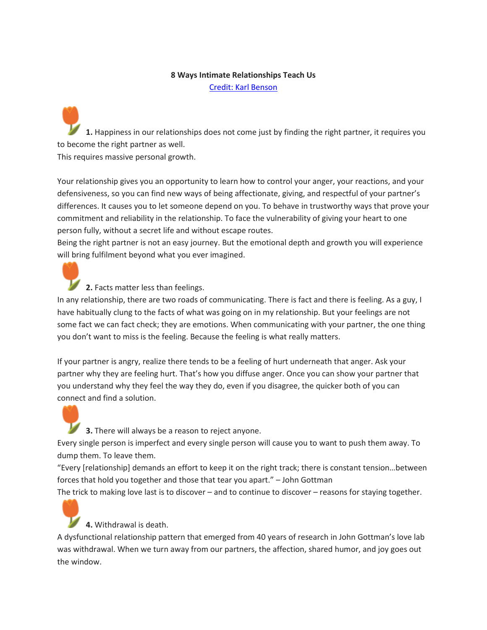## **8 Ways Intimate Relationships Teach Us** [Credit: Karl Benson](https://www.kylebenson.net/intimate-relationships/)

**1.** Happiness in our relationships does not come just by finding the right partner, it requires you to become the right partner as well.

This requires massive personal growth.

Your relationship gives you an opportunity to learn how to control your anger, your reactions, and your defensiveness, so you can find new ways of being affectionate, giving, and respectful of your partner's differences. It causes you to let someone depend on you. To behave in trustworthy ways that prove your commitment and reliability in the relationship. To face the vulnerability of giving your heart to one person fully, without a secret life and without escape routes.

Being the right partner is not an easy journey. But the emotional depth and growth you will experience will bring fulfilment beyond what you ever imagined.



**2.** Facts matter less than feelings.

In any relationship, there are two roads of communicating. There is fact and there is feeling. As a guy, I have habitually clung to the facts of what was going on in my relationship. But your feelings are not some fact we can fact check; they are emotions. When communicating with your partner, the one thing you don't want to miss is the feeling. Because the feeling is what really matters.

If your partner is angry, realize there tends to be a feeling of hurt underneath that anger. Ask your partner why they are feeling hurt. That's how you diffuse anger. Once you can show your partner that you understand why they feel the way they do, even if you disagree, the quicker both of you can connect and find a solution.

**3.** There will always be a reason to reject anyone.

Every single person is imperfect and every single person will cause you to want to push them away. To dump them. To leave them.

"Every [relationship] demands an effort to keep it on the right track; there is constant tension…between forces that hold you together and those that tear you apart." – John Gottman

The trick to making love last is to discover – and to continue to discover – reasons for staying together.

**4.** Withdrawal is death.

A dysfunctional relationship pattern that emerged from 40 years of research in John Gottman's love lab was withdrawal. When we turn away from our partners, the affection, shared humor, and joy goes out the window.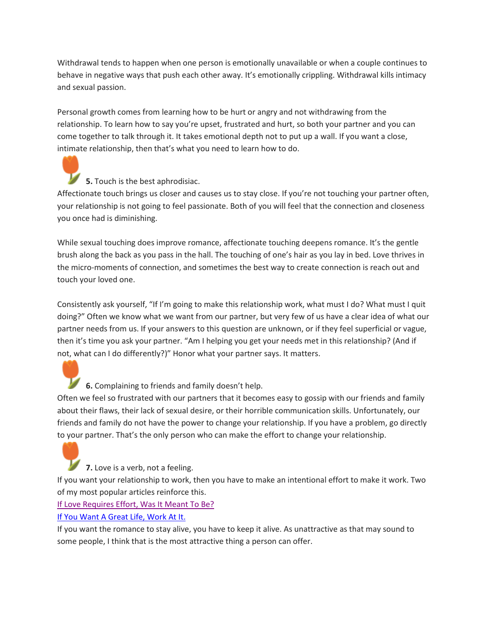Withdrawal tends to happen when one person is emotionally unavailable or when a couple continues to behave in negative ways that push each other away. It's emotionally crippling. Withdrawal kills intimacy and sexual passion.

Personal growth comes from learning how to be hurt or angry and not withdrawing from the relationship. To learn how to say you're upset, frustrated and hurt, so both your partner and you can come together to talk through it. It takes emotional depth not to put up a wall. If you want a close, intimate relationship, then that's what you need to learn how to do.

**5.** Touch is the best aphrodisiac. Affectionate touch brings us closer and causes us to stay close. If you're not touching your partner often, your relationship is not going to feel passionate. Both of you will feel that the connection and closeness you once had is diminishing.

While sexual touching does improve romance, affectionate touching deepens romance. It's the gentle brush along the back as you pass in the hall. The touching of one's hair as you lay in bed. Love thrives in the micro-moments of connection, and sometimes the best way to create connection is reach out and touch your loved one.

Consistently ask yourself, "If I'm going to make this relationship work, what must I do? What must I quit doing?" Often we know what we want from our partner, but very few of us have a clear idea of what our partner needs from us. If your answers to this question are unknown, or if they feel superficial or vague, then it's time you ask your partner. "Am I helping you get your needs met in this relationship? (And if not, what can I do differently?)" Honor what your partner says. It matters.

**6.** Complaining to friends and family doesn't help.

Often we feel so frustrated with our partners that it becomes easy to gossip with our friends and family about their flaws, their lack of sexual desire, or their horrible communication skills. Unfortunately, our friends and family do not have the power to change your relationship. If you have a problem, go directly to your partner. That's the only person who can make the effort to change your relationship.

**7.** Love is a verb, not a feeling.

If you want your relationship to work, then you have to make an intentional effort to make it work. Two of my most popular articles reinforce this.

[If Love Requires Effort, Was It Meant To Be?](https://www.kylebenson.net/love-requires-effort/)

[If You Want A Great Life, Work At It.](https://www.kylebenson.net/good-sex/)

If you want the romance to stay alive, you have to keep it alive. As unattractive as that may sound to some people, I think that is the most attractive thing a person can offer.